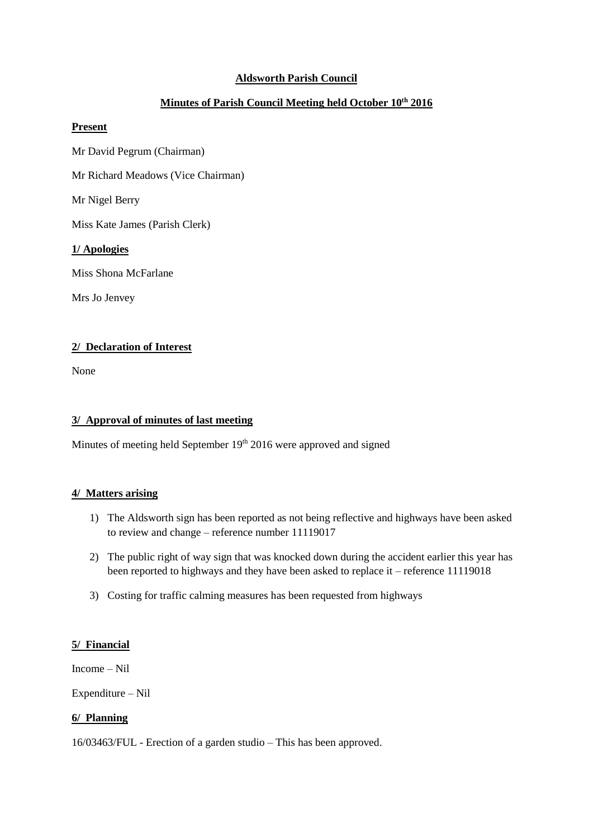## **Aldsworth Parish Council**

# **Minutes of Parish Council Meeting held October 10th 2016**

### **Present**

Mr David Pegrum (Chairman)

Mr Richard Meadows (Vice Chairman)

Mr Nigel Berry

Miss Kate James (Parish Clerk)

### **1/ Apologies**

Miss Shona McFarlane

Mrs Jo Jenvey

### **2/ Declaration of Interest**

None

#### **3/ Approval of minutes of last meeting**

Minutes of meeting held September  $19<sup>th</sup> 2016$  were approved and signed

### **4/ Matters arising**

- 1) The Aldsworth sign has been reported as not being reflective and highways have been asked to review and change – reference number 11119017
- 2) The public right of way sign that was knocked down during the accident earlier this year has been reported to highways and they have been asked to replace it – reference 11119018
- 3) Costing for traffic calming measures has been requested from highways

#### **5/ Financial**

Income – Nil

Expenditure – Nil

## **6/ Planning**

16/03463/FUL - Erection of a garden studio – This has been approved.